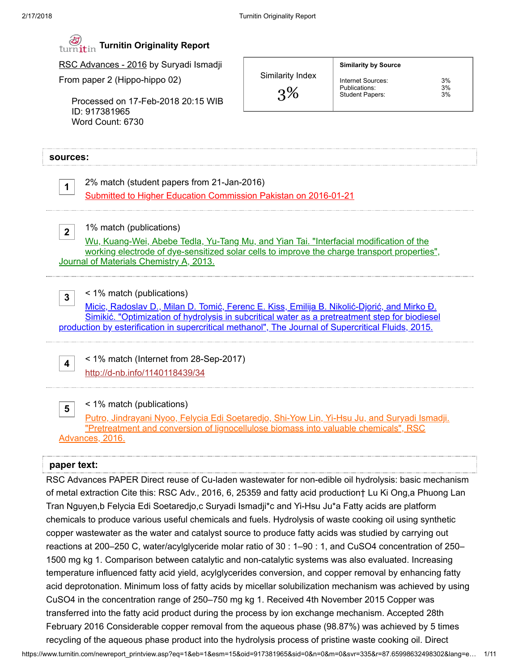Similarity Index

Internet Sources: 3%<br>Publications: 3% Publications: 3%<br>Student Papers: 3%

Student Papers:

Similarity by Source

3%



RSC Advances - 2016 by Suryadi Ismadji

From paper 2 (Hippo-hippo 02)

Processed on 17-Feb-2018 20:15 WIB ID: 917381965 Word Count: 6730

### sources:

1

2% match (student papers from 21-Jan-2016) [Submitted to Higher Education Commission Pakistan on 2016-01-21](https://www.turnitin.com/paperInfo.asp?r=69.1814518387012&svr=329&lang=en_us&oid=622495283&perc=2)

1% match (publications)

2 Wu, Kuang-Wei, Abebe Tedla, Yu-Tang Mu, and Yian Tai. "Interfacial modification of the [working electrode of dye-sensitized solar cells to improve the charge transport properties",](http://dx.doi.org/10.1039/c3ta12027a) Journal of Materials Chemistry A, 2013.

< 1% match (publications)

3 Micic, Radoslav D., Milan D. Tomić, Ferenc E. Kiss, Emilija B. Nikolić-Djorić, and Mirko Đ. Simikić. "Optimization of hydrolysis in subcritical water as a pretreatment step for biodiesel [production by esterification in supercritical methanol", The Journal of Supercritical Fluids, 2015.](http://dx.doi.org/10.1016/j.supflu.2015.04.026)

< 1% match (Internet from 28-Sep-2017) <http://d-nb.info/1140118439/34>

< 1% match (publications)

5 [Putro, Jindrayani Nyoo, Felycia Edi Soetaredjo, Shi-Yow Lin, Yi-Hsu Ju, and Suryadi Ismadji.](http://dx.doi.org/10.1039/C6RA09851G) "Pretreatment and conversion of lignocellulose biomass into valuable chemicals", RSC Advances, 2016.

## paper text:

4

RSC Advances PAPER Direct reuse of Cu-laden wastewater for non-edible oil hydrolysis: basic mechanism of metal extraction Cite this: RSC Adv., 2016, 6, 25359 and fatty acid production† Lu Ki Ong,a Phuong Lan Tran Nguyen,b Felycia Edi Soetaredjo,c Suryadi Ismadji\*c and Yi-Hsu Ju\*a Fatty acids are platform chemicals to produce various useful chemicals and fuels. Hydrolysis of waste cooking oil using synthetic copper wastewater as the water and catalyst source to produce fatty acids was studied by carrying out reactions at 200–250 C, water/acylglyceride molar ratio of 30 : 1–90 : 1, and CuSO4 concentration of 250– 1500 mg kg 1. Comparison between catalytic and non-catalytic systems was also evaluated. Increasing temperature influenced fatty acid yield, acylglycerides conversion, and copper removal by enhancing fatty acid deprotonation. Minimum loss of fatty acids by micellar solubilization mechanism was achieved by using CuSO4 in the concentration range of 250–750 mg kg 1. Received 4th November 2015 Copper was transferred into the fatty acid product during the process by ion exchange mechanism. Accepted 28th February 2016 Considerable copper removal from the aqueous phase (98.87%) was achieved by 5 times recycling of the aqueous phase product into the hydrolysis process of pristine waste cooking oil. Direct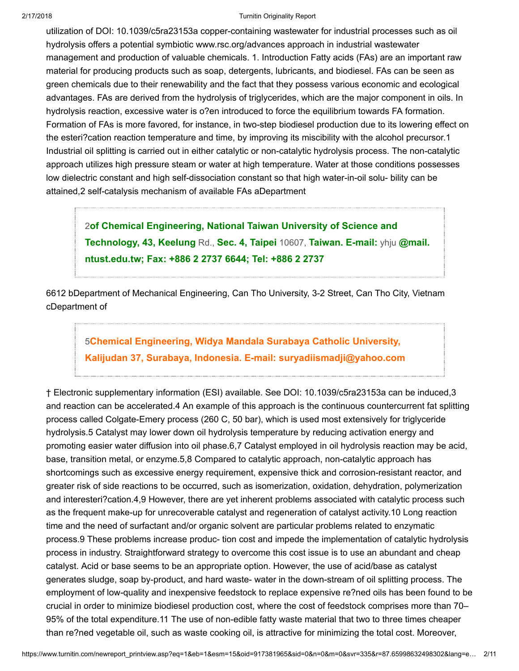utilization of DOI: 10.1039/c5ra23153a copper-containing wastewater for industrial processes such as oil hydrolysis offers a potential symbiotic www.rsc.org/advances approach in industrial wastewater management and production of valuable chemicals. 1. Introduction Fatty acids (FAs) are an important raw material for producing products such as soap, detergents, lubricants, and biodiesel. FAs can be seen as green chemicals due to their renewability and the fact that they possess various economic and ecological advantages. FAs are derived from the hydrolysis of triglycerides, which are the major component in oils. In hydrolysis reaction, excessive water is o?en introduced to force the equilibrium towards FA formation. Formation of FAs is more favored, for instance, in two-step biodiesel production due to its lowering effect on the esteri?cation reaction temperature and time, by improving its miscibility with the alcohol precursor.1 Industrial oil splitting is carried out in either catalytic or non-catalytic hydrolysis process. The non-catalytic approach utilizes high pressure steam or water at high temperature. Water at those conditions possesses low dielectric constant and high self-dissociation constant so that high water-in-oil solu- bility can be attained,2 self-catalysis mechanism of available FAs aDepartment

2[of Chemical Engineering, National Taiwan University of Science and](javascript:openDSC(48215829, 37, ) Technology, 43, Keelung Rd., Sec. 4, Taipei 10607, Taiwan. E-mail: yhju @mail. ntust.edu.tw; Fax: +886 2 2737 6644; Tel: +886 2 2737

6612 bDepartment of Mechanical Engineering, Can Tho University, 3-2 Street, Can Tho City, Vietnam cDepartment of

# 5Chemical Engineering, Widya Mandala Surabaya Catholic University, [Kalijudan 37, Surabaya, Indonesia. E-mail: suryadiismadji@yahoo.com](javascript:openDSC(58489679, 37, )

† Electronic supplementary information (ESI) available. See DOI: 10.1039/c5ra23153a can be induced,3 and reaction can be accelerated.4 An example of this approach is the continuous countercurrent fat splitting process called Colgate-Emery process (260 C, 50 bar), which is used most extensively for triglyceride hydrolysis.5 Catalyst may lower down oil hydrolysis temperature by reducing activation energy and promoting easier water diffusion into oil phase.6,7 Catalyst employed in oil hydrolysis reaction may be acid, base, transition metal, or enzyme.5,8 Compared to catalytic approach, non-catalytic approach has shortcomings such as excessive energy requirement, expensive thick and corrosion-resistant reactor, and greater risk of side reactions to be occurred, such as isomerization, oxidation, dehydration, polymerization and interesteri?cation.4,9 However, there are yet inherent problems associated with catalytic process such as the frequent make-up for unrecoverable catalyst and regeneration of catalyst activity.10 Long reaction time and the need of surfactant and/or organic solvent are particular problems related to enzymatic process.9 These problems increase produc- tion cost and impede the implementation of catalytic hydrolysis process in industry. Straightforward strategy to overcome this cost issue is to use an abundant and cheap catalyst. Acid or base seems to be an appropriate option. However, the use of acid/base as catalyst generates sludge, soap by-product, and hard waste- water in the down-stream of oil splitting process. The employment of low-quality and inexpensive feedstock to replace expensive re?ned oils has been found to be crucial in order to minimize biodiesel production cost, where the cost of feedstock comprises more than 70– 95% of the total expenditure.11 The use of non-edible fatty waste material that two to three times cheaper than re?ned vegetable oil, such as waste cooking oil, is attractive for minimizing the total cost. Moreover,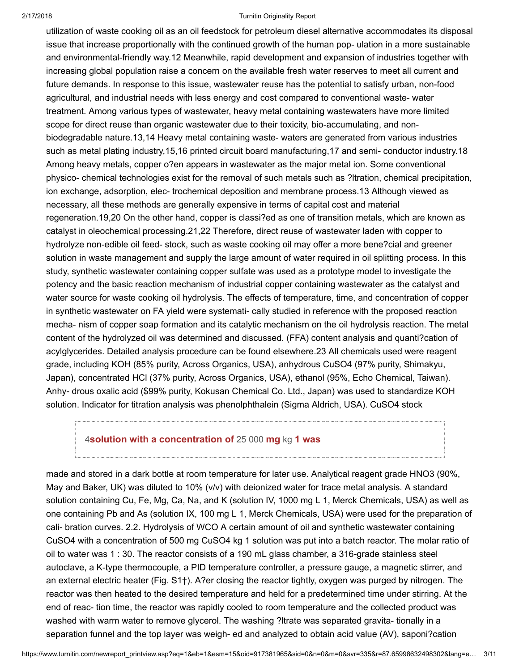utilization of waste cooking oil as an oil feedstock for petroleum diesel alternative accommodates its disposal issue that increase proportionally with the continued growth of the human pop- ulation in a more sustainable and environmental-friendly way.12 Meanwhile, rapid development and expansion of industries together with increasing global population raise a concern on the available fresh water reserves to meet all current and future demands. In response to this issue, wastewater reuse has the potential to satisfy urban, non-food agricultural, and industrial needs with less energy and cost compared to conventional waste- water treatment. Among various types of wastewater, heavy metal containing wastewaters have more limited scope for direct reuse than organic wastewater due to their toxicity, bio-accumulating, and nonbiodegradable nature.13,14 Heavy metal containing waste- waters are generated from various industries such as metal plating industry,15,16 printed circuit board manufacturing,17 and semi- conductor industry.18 Among heavy metals, copper o?en appears in wastewater as the major metal ion. Some conventional physico- chemical technologies exist for the removal of such metals such as ?ltration, chemical precipitation, ion exchange, adsorption, elec- trochemical deposition and membrane process.13 Although viewed as necessary, all these methods are generally expensive in terms of capital cost and material regeneration.19,20 On the other hand, copper is classi?ed as one of transition metals, which are known as catalyst in oleochemical processing.21,22 Therefore, direct reuse of wastewater laden with copper to hydrolyze non-edible oil feed- stock, such as waste cooking oil may offer a more bene?cial and greener solution in waste management and supply the large amount of water required in oil splitting process. In this study, synthetic wastewater containing copper sulfate was used as a prototype model to investigate the potency and the basic reaction mechanism of industrial copper containing wastewater as the catalyst and water source for waste cooking oil hydrolysis. The effects of temperature, time, and concentration of copper in synthetic wastewater on FA yield were systemati- cally studied in reference with the proposed reaction mecha- nism of copper soap formation and its catalytic mechanism on the oil hydrolysis reaction. The metal content of the hydrolyzed oil was determined and discussed. (FFA) content analysis and quanti?cation of acylglycerides. Detailed analysis procedure can be found elsewhere.23 All chemicals used were reagent grade, including KOH (85% purity, Across Organics, USA), anhydrous CuSO4 (97% purity, Shimakyu, Japan), concentrated HCl (37% purity, Across Organics, USA), ethanol (95%, Echo Chemical, Taiwan). Anhy- drous oxalic acid (\$99% purity, Kokusan Chemical Co. Ltd., Japan) was used to standardize KOH solution. Indicator for titration analysis was phenolphthalein (Sigma Aldrich, USA). CuSO4 stock

# 4[solution with a concentration of](javascript:openDSC(2113172620, 2909, ) 25 000 mg kg 1 was

made and stored in a dark bottle at room temperature for later use. Analytical reagent grade HNO3 (90%, May and Baker, UK) was diluted to 10% (v/v) with deionized water for trace metal analysis. A standard solution containing Cu, Fe, Mg, Ca, Na, and K (solution IV, 1000 mg L 1, Merck Chemicals, USA) as well as one containing Pb and As (solution IX, 100 mg L 1, Merck Chemicals, USA) were used for the preparation of cali- bration curves. 2.2. Hydrolysis of WCO A certain amount of oil and synthetic wastewater containing CuSO4 with a concentration of 500 mg CuSO4 kg 1 solution was put into a batch reactor. The molar ratio of oil to water was 1 : 30. The reactor consists of a 190 mL glass chamber, a 316-grade stainless steel autoclave, a K-type thermocouple, a PID temperature controller, a pressure gauge, a magnetic stirrer, and an external electric heater (Fig. S1†). A?er closing the reactor tightly, oxygen was purged by nitrogen. The reactor was then heated to the desired temperature and held for a predetermined time under stirring. At the end of reac- tion time, the reactor was rapidly cooled to room temperature and the collected product was washed with warm water to remove glycerol. The washing ?ltrate was separated gravita- tionally in a separation funnel and the top layer was weigh- ed and analyzed to obtain acid value (AV), saponi?cation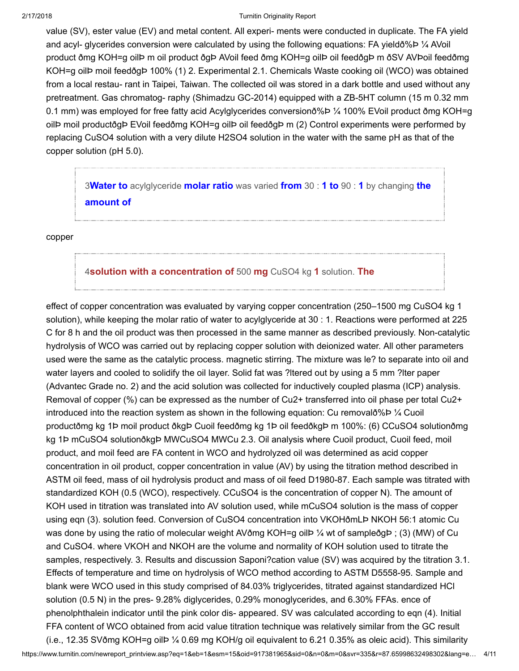value (SV), ester value (EV) and metal content. All experi- ments were conducted in duplicate. The FA yield and acyl- glycerides conversion were calculated by using the following equations: FA yieldð%Þ ¼ AVoil product ðmg KOH=g oilÞ m oil product ðgÞ AVoil feed ðmg KOH=g oilÞ oil feedðgÞ m ðSV AVÞoil feedðmg KOH=g oilÞ moil feedðgÞ 100% (1) 2. Experimental 2.1. Chemicals Waste cooking oil (WCO) was obtained from a local restau- rant in Taipei, Taiwan. The collected oil was stored in a dark bottle and used without any pretreatment. Gas chromatog- raphy (Shimadzu GC-2014) equipped with a ZB-5HT column (15 m 0.32 mm 0.1 mm) was employed for free fatty acid Acylglycerides conversionð%Þ ¼ 100% EVoil product ðmg KOH=g oilÞ moil productðgÞ EVoil feedðmg KOH=g oilÞ oil feedðgÞ m (2) Control experiments were performed by replacing CuSO4 solution with a very dilute H2SO4 solution in the water with the same pH as that of the copper solution (pH 5.0).

3Water to [acylglyceride](javascript:openDSC(57241409, 37, ) molar ratio was varied from 30 : 1 to 90 : 1 by changing the amount of

copper

## 4[solution with a concentration of](javascript:openDSC(2113172620, 2909, ) 500 mg CuSO4 kg 1 solution. The

effect of copper concentration was evaluated by varying copper concentration (250–1500 mg CuSO4 kg 1 solution), while keeping the molar ratio of water to acylglyceride at 30 : 1. Reactions were performed at 225 C for 8 h and the oil product was then processed in the same manner as described previously. Non-catalytic hydrolysis of WCO was carried out by replacing copper solution with deionized water. All other parameters used were the same as the catalytic process. magnetic stirring. The mixture was le? to separate into oil and water layers and cooled to solidify the oil layer. Solid fat was ? Itered out by using a 5 mm ? Iter paper (Advantec Grade no. 2) and the acid solution was collected for inductively coupled plasma (ICP) analysis. Removal of copper (%) can be expressed as the number of Cu2+ transferred into oil phase per total Cu2+ introduced into the reaction system as shown in the following equation: Cu removalð%Þ  $\frac{1}{4}$  Cuoil productðmg kg 1Þ moil product ðkgÞ Cuoil feedðmg kg 1Þ oil feedðkgÞ m 100%: (6) CCuSO4 solutionðmg kg 1Þ mCuSO4 solutionðkgÞ MWCuSO4 MWCu 2.3. Oil analysis where Cuoil product, Cuoil feed, moil product, and moil feed are FA content in WCO and hydrolyzed oil was determined as acid copper concentration in oil product, copper concentration in value (AV) by using the titration method described in ASTM oil feed, mass of oil hydrolysis product and mass of oil feed D1980-87. Each sample was titrated with standardized KOH (0.5 (WCO), respectively. CCuSO4 is the concentration of copper N). The amount of KOH used in titration was translated into AV solution used, while mCuSO4 solution is the mass of copper using eqn (3). solution feed. Conversion of CuSO4 concentration into VKOHðmLÞ NKOH 56:1 atomic Cu was done by using the ratio of molecular weight AVðmg KOH=g oilÞ ¼ wt of sampleðgÞ ; (3) (MW) of Cu and CuSO4. where VKOH and NKOH are the volume and normality of KOH solution used to titrate the samples, respectively. 3. Results and discussion Saponi?cation value (SV) was acquired by the titration 3.1. Effects of temperature and time on hydrolysis of WCO method according to ASTM D5558-95. Sample and blank were WCO used in this study comprised of 84.03% triglycerides, titrated against standardized HCl solution (0.5 N) in the pres- 9.28% diglycerides, 0.29% monoglycerides, and 6.30% FFAs. ence of phenolphthalein indicator until the pink color dis- appeared. SV was calculated according to eqn (4). Initial FFA content of WCO obtained from acid value titration technique was relatively similar from the GC result (i.e., 12.35 SVðmg KOH=g oilÞ ¼ 0.69 mg KOH/g oil equivalent to 6.21 0.35% as oleic acid). This similarity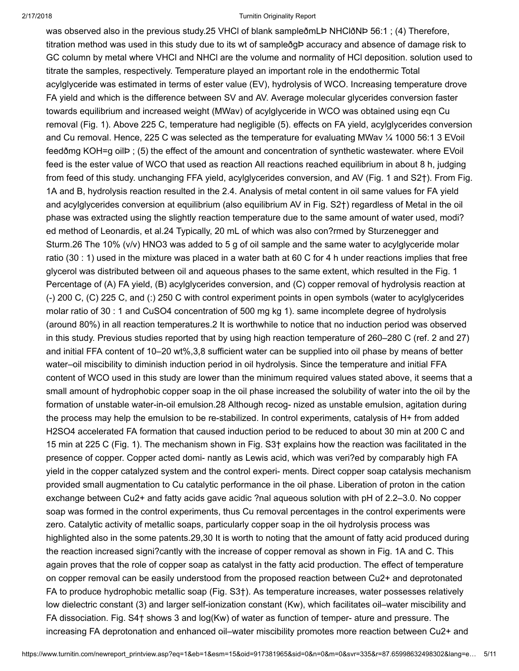was observed also in the previous study.25 VHCl of blank sampleð mLP NHClð NP 56:1; (4) Therefore, titration method was used in this study due to its wt of sampleðgÞ accuracy and absence of damage risk to GC column by metal where VHCl and NHCl are the volume and normality of HCl deposition. solution used to titrate the samples, respectively. Temperature played an important role in the endothermic Total acylglyceride was estimated in terms of ester value (EV), hydrolysis of WCO. Increasing temperature drove FA yield and which is the difference between SV and AV. Average molecular glycerides conversion faster towards equilibrium and increased weight (MWav) of acylglyceride in WCO was obtained using eqn Cu removal (Fig. 1). Above 225 C, temperature had negligible (5). effects on FA yield, acylglycerides conversion and Cu removal. Hence, 225 C was selected as the temperature for evaluating MWav ¼ 1000 56:1 3 EVoil feedðmg KOH=g oilÞ ; (5) the effect of the amount and concentration of synthetic wastewater. where EVoil feed is the ester value of WCO that used as reaction All reactions reached equilibrium in about 8 h, judging from feed of this study. unchanging FFA yield, acylglycerides conversion, and AV (Fig. 1 and S2†). From Fig. 1A and B, hydrolysis reaction resulted in the 2.4. Analysis of metal content in oil same values for FA yield and acylglycerides conversion at equilibrium (also equilibrium AV in Fig. S2†) regardless of Metal in the oil phase was extracted using the slightly reaction temperature due to the same amount of water used, modi? ed method of Leonardis, et al.24 Typically, 20 mL of which was also con?rmed by Sturzenegger and Sturm.26 The 10% (v/v) HNO3 was added to 5 g of oil sample and the same water to acylglyceride molar ratio (30 : 1) used in the mixture was placed in a water bath at 60 C for 4 h under reactions implies that free glycerol was distributed between oil and aqueous phases to the same extent, which resulted in the Fig. 1 Percentage of (A) FA yield, (B) acylglycerides conversion, and (C) copper removal of hydrolysis reaction at (-) 200 C, (C) 225 C, and (:) 250 C with control experiment points in open symbols (water to acylglycerides molar ratio of 30 : 1 and CuSO4 concentration of 500 mg kg 1). same incomplete degree of hydrolysis (around 80%) in all reaction temperatures.2 It is worthwhile to notice that no induction period was observed in this study. Previous studies reported that by using high reaction temperature of 260–280 C (ref. 2 and 27) and initial FFA content of 10–20 wt%,3,8 sufficient water can be supplied into oil phase by means of better water–oil miscibility to diminish induction period in oil hydrolysis. Since the temperature and initial FFA content of WCO used in this study are lower than the minimum required values stated above, it seems that a small amount of hydrophobic copper soap in the oil phase increased the solubility of water into the oil by the formation of unstable water-in-oil emulsion.28 Although recog- nized as unstable emulsion, agitation during the process may help the emulsion to be re-stabilized. In control experiments, catalysis of H+ from added H2SO4 accelerated FA formation that caused induction period to be reduced to about 30 min at 200 C and 15 min at 225 C (Fig. 1). The mechanism shown in Fig. S3† explains how the reaction was facilitated in the presence of copper. Copper acted domi- nantly as Lewis acid, which was veri?ed by comparably high FA yield in the copper catalyzed system and the control experi- ments. Direct copper soap catalysis mechanism provided small augmentation to Cu catalytic performance in the oil phase. Liberation of proton in the cation exchange between Cu2+ and fatty acids gave acidic ?nal aqueous solution with pH of 2.2–3.0. No copper soap was formed in the control experiments, thus Cu removal percentages in the control experiments were zero. Catalytic activity of metallic soaps, particularly copper soap in the oil hydrolysis process was highlighted also in the some patents.29,30 It is worth to noting that the amount of fatty acid produced during the reaction increased signi?cantly with the increase of copper removal as shown in Fig. 1A and C. This again proves that the role of copper soap as catalyst in the fatty acid production. The effect of temperature on copper removal can be easily understood from the proposed reaction between Cu2+ and deprotonated FA to produce hydrophobic metallic soap (Fig. S3†). As temperature increases, water possesses relatively low dielectric constant (3) and larger self-ionization constant (Kw), which facilitates oil–water miscibility and FA dissociation. Fig. S4† shows 3 and log(Kw) of water as function of temper- ature and pressure. The increasing FA deprotonation and enhanced oil–water miscibility promotes more reaction between Cu2+ and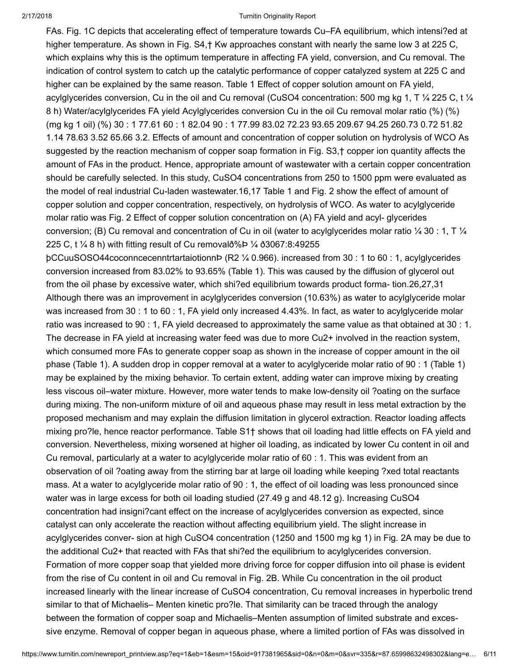FAs. Fig. 1C depicts that accelerating effect of temperature towards Cu–FA equilibrium, which intensi?ed at higher temperature. As shown in Fig. S4, † Kw approaches constant with nearly the same low 3 at 225 C, which explains why this is the optimum temperature in affecting FA yield, conversion, and Cu removal. The indication of control system to catch up the catalytic performance of copper catalyzed system at 225 C and higher can be explained by the same reason. Table 1 Effect of copper solution amount on FA yield, acylglycerides conversion, Cu in the oil and Cu removal (CuSO4 concentration: 500 mg kg 1, T ¼ 225 C, t ¼ 8 h) Water/acylglycerides FA yield Acylglycerides conversion Cu in the oil Cu removal molar ratio (%) (%) (mg kg 1 oil) (%) 30 : 1 77.61 60 : 1 82.04 90 : 1 77.99 83.02 72.23 93.65 209.67 94.25 260.73 0.72 51.82 1.14 78.63 3.52 65.66 3.2. Effects of amount and concentration of copper solution on hydrolysis of WCO As suggested by the reaction mechanism of copper soap formation in Fig. S3,† copper ion quantity affects the amount of FAs in the product. Hence, appropriate amount of wastewater with a certain copper concentration should be carefully selected. In this study, CuSO4 concentrations from 250 to 1500 ppm were evaluated as the model of real industrial Cu-laden wastewater.16,17 Table 1 and Fig. 2 show the effect of amount of copper solution and copper concentration, respectively, on hydrolysis of WCO. As water to acylglyceride molar ratio was Fig. 2 Effect of copper solution concentration on (A) FA yield and acyl- glycerides conversion; (B) Cu removal and concentration of Cu in oil (water to acylglycerides molar ratio  $\frac{1}{4}$  30 : 1, T  $\frac{1}{4}$ 225 C, t ¼ 8 h) with fitting result of Cu removalð%Þ ¼ ð3067:8:49255

þCCuuSOSO44coconncecenntrtartaiotionnÞ (R2 ¼ 0.966). increased from 30 : 1 to 60 : 1, acylglycerides conversion increased from 83.02% to 93.65% (Table 1). This was caused by the diffusion of glycerol out from the oil phase by excessive water, which shi?ed equilibrium towards product forma- tion.26,27,31 Although there was an improvement in acylglycerides conversion (10.63%) as water to acylglyceride molar was increased from 30 : 1 to 60 : 1, FA yield only increased 4.43%. In fact, as water to acylglyceride molar ratio was increased to 90 : 1, FA yield decreased to approximately the same value as that obtained at 30 : 1. The decrease in FA yield at increasing water feed was due to more Cu2+ involved in the reaction system, which consumed more FAs to generate copper soap as shown in the increase of copper amount in the oil phase (Table 1). A sudden drop in copper removal at a water to acylglyceride molar ratio of 90 : 1 (Table 1) may be explained by the mixing behavior. To certain extent, adding water can improve mixing by creating less viscous oil–water mixture. However, more water tends to make low-density oil ?oating on the surface during mixing. The non-uniform mixture of oil and aqueous phase may result in less metal extraction by the proposed mechanism and may explain the diffusion limitation in glycerol extraction. Reactor loading affects mixing pro?le, hence reactor performance. Table S1† shows that oil loading had little effects on FA yield and conversion. Nevertheless, mixing worsened at higher oil loading, as indicated by lower Cu content in oil and Cu removal, particularly at a water to acylglyceride molar ratio of 60 : 1. This was evident from an observation of oil ?oating away from the stirring bar at large oil loading while keeping ?xed total reactants mass. At a water to acylglyceride molar ratio of 90 : 1, the effect of oil loading was less pronounced since water was in large excess for both oil loading studied (27.49 g and 48.12 g). Increasing CuSO4 concentration had insigni?cant effect on the increase of acylglycerides conversion as expected, since catalyst can only accelerate the reaction without affecting equilibrium yield. The slight increase in acylglycerides conver- sion at high CuSO4 concentration (1250 and 1500 mg kg 1) in Fig. 2A may be due to the additional Cu2+ that reacted with FAs that shi?ed the equilibrium to acylglycerides conversion. Formation of more copper soap that yielded more driving force for copper diffusion into oil phase is evident from the rise of Cu content in oil and Cu removal in Fig. 2B. While Cu concentration in the oil product increased linearly with the linear increase of CuSO4 concentration, Cu removal increases in hyperbolic trend similar to that of Michaelis– Menten kinetic pro?le. That similarity can be traced through the analogy between the formation of copper soap and Michaelis–Menten assumption of limited substrate and excessive enzyme. Removal of copper began in aqueous phase, where a limited portion of FAs was dissolved in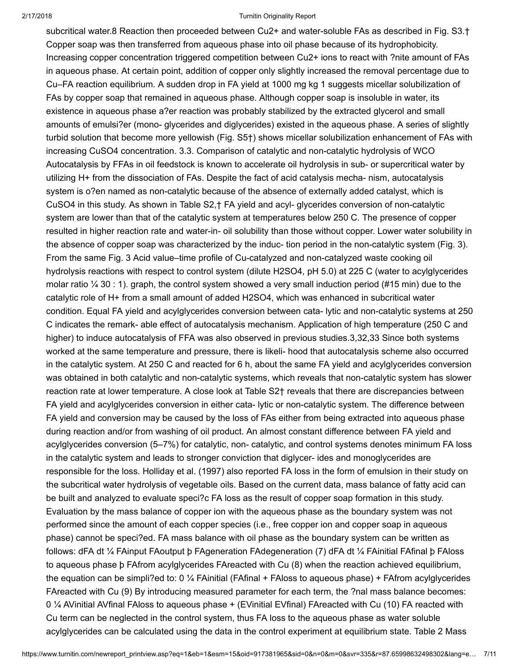subcritical water.8 Reaction then proceeded between Cu2+ and water-soluble FAs as described in Fig. S3.† Copper soap was then transferred from aqueous phase into oil phase because of its hydrophobicity. Increasing copper concentration triggered competition between Cu2+ ions to react with ?nite amount of FAs in aqueous phase. At certain point, addition of copper only slightly increased the removal percentage due to Cu–FA reaction equilibrium. A sudden drop in FA yield at 1000 mg kg 1 suggests micellar solubilization of FAs by copper soap that remained in aqueous phase. Although copper soap is insoluble in water, its existence in aqueous phase a?er reaction was probably stabilized by the extracted glycerol and small amounts of emulsi?er (mono- glycerides and diglycerides) existed in the aqueous phase. A series of slightly turbid solution that become more yellowish (Fig. S5†) shows micellar solubilization enhancement of FAs with increasing CuSO4 concentration. 3.3. Comparison of catalytic and non-catalytic hydrolysis of WCO Autocatalysis by FFAs in oil feedstock is known to accelerate oil hydrolysis in sub- or supercritical water by utilizing H+ from the dissociation of FAs. Despite the fact of acid catalysis mecha- nism, autocatalysis system is o?en named as non-catalytic because of the absence of externally added catalyst, which is CuSO4 in this study. As shown in Table S2,† FA yield and acyl- glycerides conversion of non-catalytic system are lower than that of the catalytic system at temperatures below 250 C. The presence of copper resulted in higher reaction rate and water-in- oil solubility than those without copper. Lower water solubility in the absence of copper soap was characterized by the induc- tion period in the non-catalytic system (Fig. 3). From the same Fig. 3 Acid value–time profile of Cu-catalyzed and non-catalyzed waste cooking oil hydrolysis reactions with respect to control system (dilute H2SO4, pH 5.0) at 225 C (water to acylglycerides molar ratio ¼ 30 : 1). graph, the control system showed a very small induction period (#15 min) due to the catalytic role of H+ from a small amount of added H2SO4, which was enhanced in subcritical water condition. Equal FA yield and acylglycerides conversion between cata- lytic and non-catalytic systems at 250 C indicates the remark- able effect of autocatalysis mechanism. Application of high temperature (250 C and higher) to induce autocatalysis of FFA was also observed in previous studies.3,32,33 Since both systems worked at the same temperature and pressure, there is likeli- hood that autocatalysis scheme also occurred in the catalytic system. At 250 C and reacted for 6 h, about the same FA yield and acylglycerides conversion was obtained in both catalytic and non-catalytic systems, which reveals that non-catalytic system has slower reaction rate at lower temperature. A close look at Table S2† reveals that there are discrepancies between FA yield and acylglycerides conversion in either cata- lytic or non-catalytic system. The difference between FA yield and conversion may be caused by the loss of FAs either from being extracted into aqueous phase during reaction and/or from washing of oil product. An almost constant difference between FA yield and acylglycerides conversion (5–7%) for catalytic, non- catalytic, and control systems denotes minimum FA loss in the catalytic system and leads to stronger conviction that diglycer- ides and monoglycerides are responsible for the loss. Holliday et al. (1997) also reported FA loss in the form of emulsion in their study on the subcritical water hydrolysis of vegetable oils. Based on the current data, mass balance of fatty acid can be built and analyzed to evaluate speci?c FA loss as the result of copper soap formation in this study. Evaluation by the mass balance of copper ion with the aqueous phase as the boundary system was not performed since the amount of each copper species (i.e., free copper ion and copper soap in aqueous phase) cannot be speci?ed. FA mass balance with oil phase as the boundary system can be written as follows: dFA dt ¼ FAinput FAoutput þ FAgeneration FAdegeneration (7) dFA dt ¼ FAinitial FAfinal þ FAloss to aqueous phase þ FAfrom acylglycerides FAreacted with Cu (8) when the reaction achieved equilibrium, the equation can be simpli?ed to: 0  $\frac{1}{4}$  FAinitial (FAfinal + FAloss to aqueous phase) + FAfrom acylglycerides FAreacted with Cu (9) By introducing measured parameter for each term, the ?nal mass balance becomes: 0 ¼ AVinitial AVfinal FAloss to aqueous phase + (EVinitial EVfinal) FAreacted with Cu (10) FA reacted with Cu term can be neglected in the control system, thus FA loss to the aqueous phase as water soluble acylglycerides can be calculated using the data in the control experiment at equilibrium state. Table 2 Mass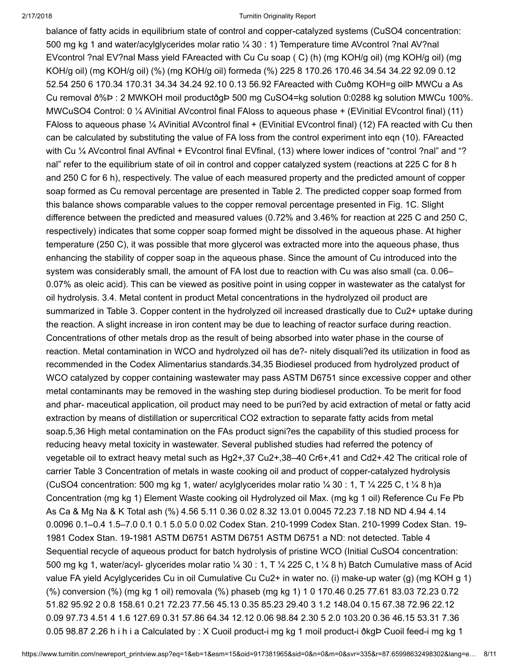balance of fatty acids in equilibrium state of control and copper-catalyzed systems (CuSO4 concentration: 500 mg kg 1 and water/acylglycerides molar ratio ¼ 30 : 1) Temperature time AVcontrol ?nal AV?nal EVcontrol ?nal EV?nal Mass yield FAreacted with Cu Cu soap ( C) (h) (mg KOH/g oil) (mg KOH/g oil) (mg KOH/g oil) (mg KOH/g oil) (%) (mg KOH/g oil) formeda (%) 225 8 170.26 170.46 34.54 34.22 92.09 0.12 52.54 250 6 170.34 170.31 34.34 34.24 92.10 0.13 56.92 FAreacted with Cuðmg KOH=g oilÞ MWCu a As Cu removal ð%Þ : 2 MWKOH moil productðgÞ 500 mg CuSO4=kg solution 0:0288 kg solution MWCu 100%. MWCuSO4 Control: 0 ¼ AVinitial AVcontrol final FAloss to aqueous phase + (EVinitial EVcontrol final) (11) FAloss to aqueous phase ¼ AVinitial AVcontrol final + (EVinitial EVcontrol final) (12) FA reacted with Cu then can be calculated by substituting the value of FA loss from the control experiment into eqn (10). FAreacted with Cu ¼ AVcontrol final AVfinal + EVcontrol final EVfinal, (13) where lower indices of "control ?nal" and "? nal" refer to the equilibrium state of oil in control and copper catalyzed system (reactions at 225 C for 8 h and 250 C for 6 h), respectively. The value of each measured property and the predicted amount of copper soap formed as Cu removal percentage are presented in Table 2. The predicted copper soap formed from this balance shows comparable values to the copper removal percentage presented in Fig. 1C. Slight difference between the predicted and measured values (0.72% and 3.46% for reaction at 225 C and 250 C, respectively) indicates that some copper soap formed might be dissolved in the aqueous phase. At higher temperature (250 C), it was possible that more glycerol was extracted more into the aqueous phase, thus enhancing the stability of copper soap in the aqueous phase. Since the amount of Cu introduced into the system was considerably small, the amount of FA lost due to reaction with Cu was also small (ca. 0.06– 0.07% as oleic acid). This can be viewed as positive point in using copper in wastewater as the catalyst for oil hydrolysis. 3.4. Metal content in product Metal concentrations in the hydrolyzed oil product are summarized in Table 3. Copper content in the hydrolyzed oil increased drastically due to Cu2+ uptake during the reaction. A slight increase in iron content may be due to leaching of reactor surface during reaction. Concentrations of other metals drop as the result of being absorbed into water phase in the course of reaction. Metal contamination in WCO and hydrolyzed oil has de?- nitely disquali?ed its utilization in food as recommended in the Codex Alimentarius standards.34,35 Biodiesel produced from hydrolyzed product of WCO catalyzed by copper containing wastewater may pass ASTM D6751 since excessive copper and other metal contaminants may be removed in the washing step during biodiesel production. To be merit for food and phar- maceutical application, oil product may need to be puri?ed by acid extraction of metal or fatty acid extraction by means of distillation or supercritical CO2 extraction to separate fatty acids from metal soap.5,36 High metal contamination on the FAs product signi?es the capability of this studied process for reducing heavy metal toxicity in wastewater. Several published studies had referred the potency of vegetable oil to extract heavy metal such as Hg2+,37 Cu2+,38–40 Cr6+,41 and Cd2+.42 The critical role of carrier Table 3 Concentration of metals in waste cooking oil and product of copper-catalyzed hydrolysis (CuSO4 concentration: 500 mg kg 1, water/ acylglycerides molar ratio  $\frac{1}{4}$  30 : 1, T  $\frac{1}{4}$  225 C, t  $\frac{1}{4}$  8 h)a Concentration (mg kg 1) Element Waste cooking oil Hydrolyzed oil Max. (mg kg 1 oil) Reference Cu Fe Pb As Ca & Mg Na & K Total ash (%) 4.56 5.11 0.36 0.02 8.32 13.01 0.0045 72.23 7.18 ND ND 4.94 4.14 0.0096 0.1–0.4 1.5–7.0 0.1 0.1 5.0 5.0 0.02 Codex Stan. 210-1999 Codex Stan. 210-1999 Codex Stan. 19- 1981 Codex Stan. 19-1981 ASTM D6751 ASTM D6751 ASTM D6751 a ND: not detected. Table 4 Sequential recycle of aqueous product for batch hydrolysis of pristine WCO (Initial CuSO4 concentration: 500 mg kg 1, water/acyl- glycerides molar ratio  $\frac{1}{4}$  30 : 1, T  $\frac{1}{4}$  225 C, t  $\frac{1}{4}$  8 h) Batch Cumulative mass of Acid value FA yield Acylglycerides Cu in oil Cumulative Cu Cu2+ in water no. (i) make-up water (g) (mg KOH g 1) (%) conversion (%) (mg kg 1 oil) removala (%) phaseb (mg kg 1) 1 0 170.46 0.25 77.61 83.03 72.23 0.72 51.82 95.92 2 0.8 158.61 0.21 72.23 77.56 45.13 0.35 85.23 29.40 3 1.2 148.04 0.15 67.38 72.96 22.12 0.09 97.73 4.51 4 1.6 127.69 0.31 57.86 64.34 12.12 0.06 98.84 2.30 5 2.0 103.20 0.36 46.15 53.31 7.36 0.05 98.87 2.26 h i h i a Calculated by : X Cuoil product-i mg kg 1 moil product-i ðkgÞ Cuoil feed-i mg kg 1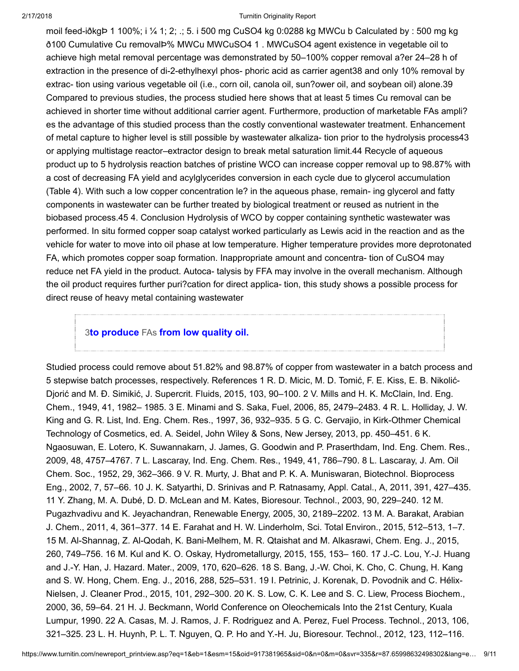moil feed-iðkgÞ 1 100%; i ¼ 1; 2; .; 5. i 500 mg CuSO4 kg 0:0288 kg MWCu b Calculated by : 500 mg kg ð100 Cumulative Cu removalÞ% MWCu MWCuSO4 1 . MWCuSO4 agent existence in vegetable oil to achieve high metal removal percentage was demonstrated by 50–100% copper removal a?er 24–28 h of extraction in the presence of di-2-ethylhexyl phos- phoric acid as carrier agent38 and only 10% removal by extrac- tion using various vegetable oil (i.e., corn oil, canola oil, sun?ower oil, and soybean oil) alone.39 Compared to previous studies, the process studied here shows that at least 5 times Cu removal can be achieved in shorter time without additional carrier agent. Furthermore, production of marketable FAs ampli? es the advantage of this studied process than the costly conventional wastewater treatment. Enhancement of metal capture to higher level is still possible by wastewater alkaliza- tion prior to the hydrolysis process43 or applying multistage reactor–extractor design to break metal saturation limit.44 Recycle of aqueous product up to 5 hydrolysis reaction batches of pristine WCO can increase copper removal up to 98.87% with a cost of decreasing FA yield and acylglycerides conversion in each cycle due to glycerol accumulation (Table 4). With such a low copper concentration le? in the aqueous phase, remain- ing glycerol and fatty components in wastewater can be further treated by biological treatment or reused as nutrient in the biobased process.45 4. Conclusion Hydrolysis of WCO by copper containing synthetic wastewater was performed. In situ formed copper soap catalyst worked particularly as Lewis acid in the reaction and as the vehicle for water to move into oil phase at low temperature. Higher temperature provides more deprotonated FA, which promotes copper soap formation. Inappropriate amount and concentra- tion of CuSO4 may reduce net FA yield in the product. Autoca- talysis by FFA may involve in the overall mechanism. Although the oil product requires further puri?cation for direct applica- tion, this study shows a possible process for direct reuse of heavy metal containing wastewater

### 3to produce FAs [from low quality oil.](javascript:openDSC(57241409, 37, )

Studied process could remove about 51.82% and 98.87% of copper from wastewater in a batch process and 5 stepwise batch processes, respectively. References 1 R. D. Micic, M. D. Tomić, F. E. Kiss, E. B. Nikolić-Djorić and M. Đ. Simikić, J. Supercrit. Fluids, 2015, 103, 90–100. 2 V. Mills and H. K. McClain, Ind. Eng. Chem., 1949, 41, 1982– 1985. 3 E. Minami and S. Saka, Fuel, 2006, 85, 2479–2483. 4 R. L. Holliday, J. W. King and G. R. List, Ind. Eng. Chem. Res., 1997, 36, 932–935. 5 G. C. Gervajio, in Kirk-Othmer Chemical Technology of Cosmetics, ed. A. Seidel, John Wiley & Sons, New Jersey, 2013, pp. 450–451. 6 K. Ngaosuwan, E. Lotero, K. Suwannakarn, J. James, G. Goodwin and P. Praserthdam, Ind. Eng. Chem. Res., 2009, 48, 4757–4767. 7 L. Lascaray, Ind. Eng. Chem. Res., 1949, 41, 786–790. 8 L. Lascaray, J. Am. Oil Chem. Soc., 1952, 29, 362–366. 9 V. R. Murty, J. Bhat and P. K. A. Muniswaran, Biotechnol. Bioprocess Eng., 2002, 7, 57–66. 10 J. K. Satyarthi, D. Srinivas and P. Ratnasamy, Appl. Catal., A, 2011, 391, 427–435. 11 Y. Zhang, M. A. Dubé, D. D. McLean and M. Kates, Bioresour. Technol., 2003, 90, 229–240. 12 M. Pugazhvadivu and K. Jeyachandran, Renewable Energy, 2005, 30, 2189–2202. 13 M. A. Barakat, Arabian J. Chem., 2011, 4, 361–377. 14 E. Farahat and H. W. Linderholm, Sci. Total Environ., 2015, 512–513, 1–7. 15 M. Al-Shannag, Z. Al-Qodah, K. Bani-Melhem, M. R. Qtaishat and M. Alkasrawi, Chem. Eng. J., 2015, 260, 749–756. 16 M. Kul and K. O. Oskay, Hydrometallurgy, 2015, 155, 153– 160. 17 J.-C. Lou, Y.-J. Huang and J.-Y. Han, J. Hazard. Mater., 2009, 170, 620–626. 18 S. Bang, J.-W. Choi, K. Cho, C. Chung, H. Kang and S. W. Hong, Chem. Eng. J., 2016, 288, 525–531. 19 I. Petrinic, J. Korenak, D. Povodnik and C. Hélix-Nielsen, J. Cleaner Prod., 2015, 101, 292–300. 20 K. S. Low, C. K. Lee and S. C. Liew, Process Biochem., 2000, 36, 59–64. 21 H. J. Beckmann, World Conference on Oleochemicals Into the 21st Century, Kuala Lumpur, 1990. 22 A. Casas, M. J. Ramos, J. F. Rodriguez and A. Perez, Fuel Process. Technol., 2013, 106, 321–325. 23 L. H. Huynh, P. L. T. Nguyen, Q. P. Ho and Y.-H. Ju, Bioresour. Technol., 2012, 123, 112–116.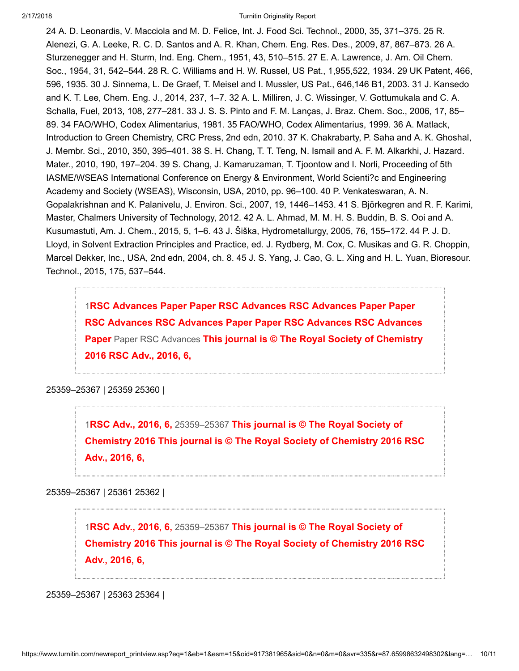24 A. D. Leonardis, V. Macciola and M. D. Felice, Int. J. Food Sci. Technol., 2000, 35, 371–375. 25 R. Alenezi, G. A. Leeke, R. C. D. Santos and A. R. Khan, Chem. Eng. Res. Des., 2009, 87, 867–873. 26 A. Sturzenegger and H. Sturm, Ind. Eng. Chem., 1951, 43, 510–515. 27 E. A. Lawrence, J. Am. Oil Chem. Soc., 1954, 31, 542–544. 28 R. C. Williams and H. W. Russel, US Pat., 1,955,522, 1934. 29 UK Patent, 466, 596, 1935. 30 J. Sinnema, L. De Graef, T. Meisel and I. Mussler, US Pat., 646,146 B1, 2003. 31 J. Kansedo and K. T. Lee, Chem. Eng. J., 2014, 237, 1–7. 32 A. L. Milliren, J. C. Wissinger, V. Gottumukala and C. A. Schalla, Fuel, 2013, 108, 277–281. 33 J. S. S. Pinto and F. M. Lanças, J. Braz. Chem. Soc., 2006, 17, 85– 89. 34 FAO/WHO, Codex Alimentarius, 1981. 35 FAO/WHO, Codex Alimentarius, 1999. 36 A. Matlack, Introduction to Green Chemistry, CRC Press, 2nd edn, 2010. 37 K. Chakrabarty, P. Saha and A. K. Ghoshal, J. Membr. Sci., 2010, 350, 395–401. 38 S. H. Chang, T. T. Teng, N. Ismail and A. F. M. Alkarkhi, J. Hazard. Mater., 2010, 190, 197–204. 39 S. Chang, J. Kamaruzaman, T. Tjoontow and I. Norli, Proceeding of 5th IASME/WSEAS International Conference on Energy & Environment, World Scienti?c and Engineering Academy and Society (WSEAS), Wisconsin, USA, 2010, pp. 96–100. 40 P. Venkateswaran, A. N. Gopalakrishnan and K. Palanivelu, J. Environ. Sci., 2007, 19, 1446–1453. 41 S. Björkegren and R. F. Karimi, Master, Chalmers University of Technology, 2012. 42 A. L. Ahmad, M. M. H. S. Buddin, B. S. Ooi and A. Kusumastuti, Am. J. Chem., 2015, 5, 1–6. 43 J. Šiška, Hydrometallurgy, 2005, 76, 155–172. 44 P. J. D. Lloyd, in Solvent Extraction Principles and Practice, ed. J. Rydberg, M. Cox, C. Musikas and G. R. Choppin, Marcel Dekker, Inc., USA, 2nd edn, 2004, ch. 8. 45 J. S. Yang, J. Cao, G. L. Xing and H. L. Yuan, Bioresour. Technol., 2015, 175, 537–544.

1RSC Advances Paper Paper RSC Advances RSC Advances Paper Paper [RSC Advances RSC Advances Paper Paper RSC Advances RSC Advances](javascript:openDSC(622495283, 1, ) Paper Paper RSC Advances This journal is © The Royal Society of Chemistry 2016 RSC Adv., 2016, 6,

25359–25367 | 25359 25360 |

1RSC Adv., 2016, 6, 25359–25367 This journal is © The Royal Society of [Chemistry 2016 This journal is © The Royal Society of Chemistry 2016 RSC](javascript:openDSC(622495283, 1, ) Adv., 2016, 6,

25359–25367 | 25361 25362 |

1RSC Adv., 2016, 6, 25359–25367 This journal is © The Royal Society of [Chemistry 2016 This journal is © The Royal Society of Chemistry 2016 RSC](javascript:openDSC(622495283, 1, ) Adv., 2016, 6,

25359–25367 | 25363 25364 |